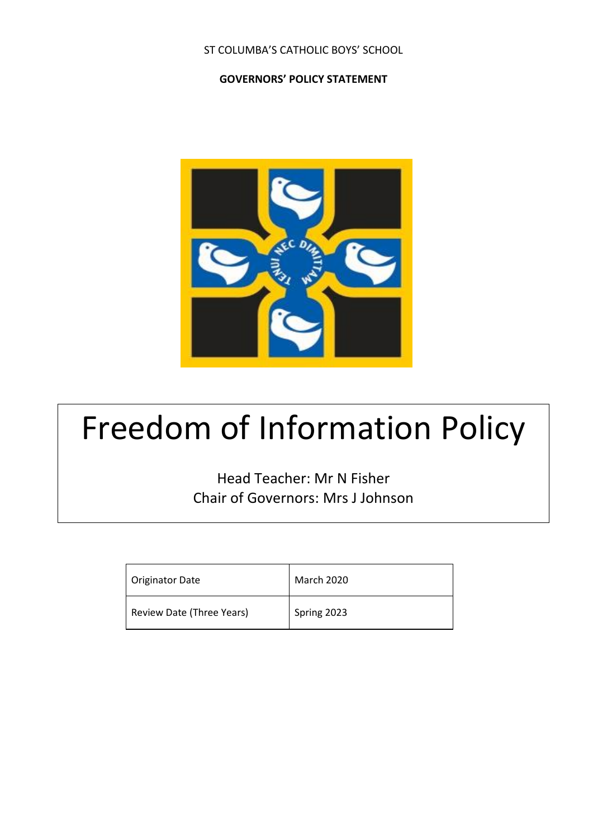### ST COLUMBA'S CATHOLIC BOYS' SCHOOL

#### **GOVERNORS' POLICY STATEMENT**



# Freedom of Information Policy

Head Teacher: Mr N Fisher Chair of Governors: Mrs J Johnson

| <b>Originator Date</b>    | <b>March 2020</b> |
|---------------------------|-------------------|
| Review Date (Three Years) | Spring 2023       |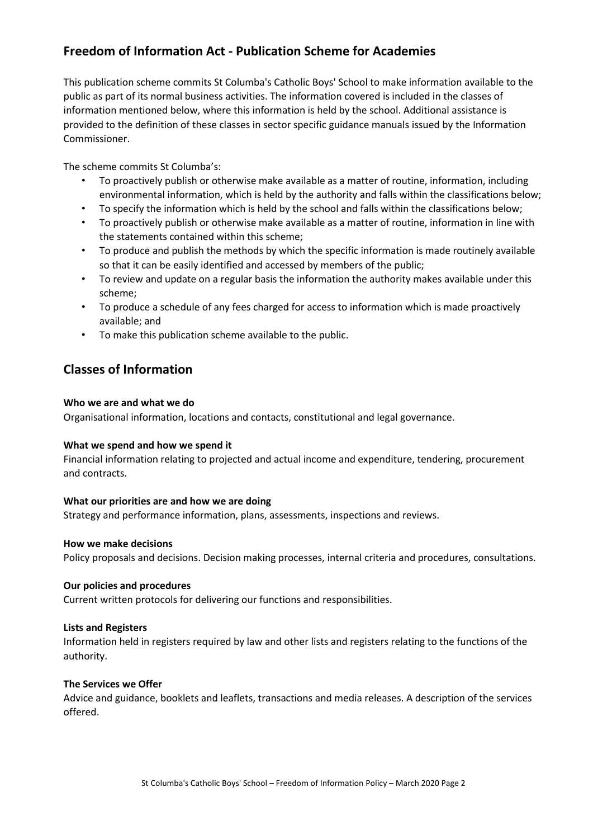# **Freedom of Information Act - Publication Scheme for Academies**

This publication scheme commits St Columba's Catholic Boys' School to make information available to the public as part of its normal business activities. The information covered is included in the classes of information mentioned below, where this information is held by the school. Additional assistance is provided to the definition of these classes in sector specific guidance manuals issued by the Information Commissioner.

The scheme commits St Columba's:

- To proactively publish or otherwise make available as a matter of routine, information, including environmental information, which is held by the authority and falls within the classifications below;
- To specify the information which is held by the school and falls within the classifications below;
- To proactively publish or otherwise make available as a matter of routine, information in line with the statements contained within this scheme;
- To produce and publish the methods by which the specific information is made routinely available so that it can be easily identified and accessed by members of the public;
- To review and update on a regular basis the information the authority makes available under this scheme;
- To produce a schedule of any fees charged for access to information which is made proactively available; and
- To make this publication scheme available to the public.

## **Classes of Information**

#### **Who we are and what we do**

Organisational information, locations and contacts, constitutional and legal governance.

#### **What we spend and how we spend it**

Financial information relating to projected and actual income and expenditure, tendering, procurement and contracts.

#### **What our priorities are and how we are doing**

Strategy and performance information, plans, assessments, inspections and reviews.

#### **How we make decisions**

Policy proposals and decisions. Decision making processes, internal criteria and procedures, consultations.

#### **Our policies and procedures**

Current written protocols for delivering our functions and responsibilities.

#### **Lists and Registers**

Information held in registers required by law and other lists and registers relating to the functions of the authority.

#### **The Services we Offer**

Advice and guidance, booklets and leaflets, transactions and media releases. A description of the services offered.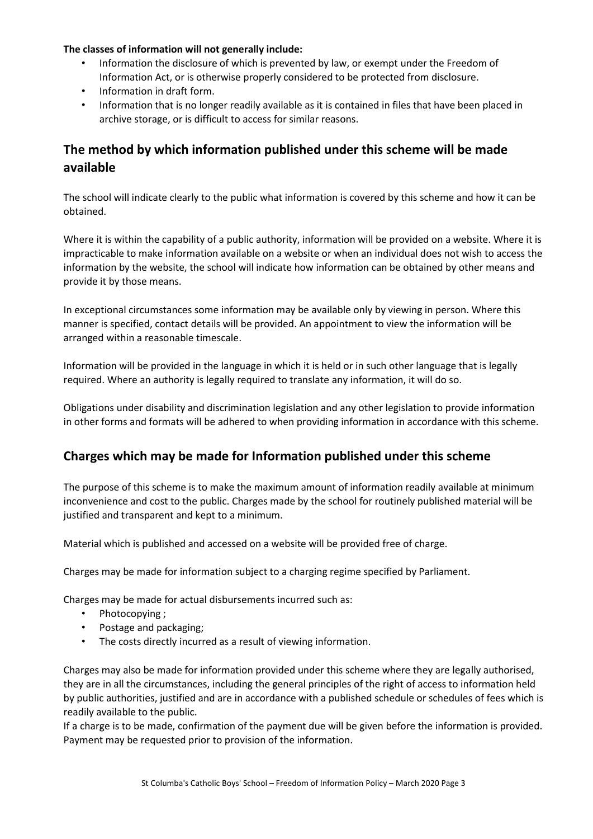#### **The classes of information will not generally include:**

- Information the disclosure of which is prevented by law, or exempt under the Freedom of Information Act, or is otherwise properly considered to be protected from disclosure.
- Information in draft form.
- Information that is no longer readily available as it is contained in files that have been placed in archive storage, or is difficult to access for similar reasons.

# **The method by which information published under this scheme will be made available**

The school will indicate clearly to the public what information is covered by this scheme and how it can be obtained.

Where it is within the capability of a public authority, information will be provided on a website. Where it is impracticable to make information available on a website or when an individual does not wish to access the information by the website, the school will indicate how information can be obtained by other means and provide it by those means.

In exceptional circumstances some information may be available only by viewing in person. Where this manner is specified, contact details will be provided. An appointment to view the information will be arranged within a reasonable timescale.

Information will be provided in the language in which it is held or in such other language that is legally required. Where an authority is legally required to translate any information, it will do so.

Obligations under disability and discrimination legislation and any other legislation to provide information in other forms and formats will be adhered to when providing information in accordance with this scheme.

## **Charges which may be made for Information published under this scheme**

The purpose of this scheme is to make the maximum amount of information readily available at minimum inconvenience and cost to the public. Charges made by the school for routinely published material will be justified and transparent and kept to a minimum.

Material which is published and accessed on a website will be provided free of charge.

Charges may be made for information subject to a charging regime specified by Parliament.

Charges may be made for actual disbursements incurred such as:

- Photocopying ;
- Postage and packaging;
- The costs directly incurred as a result of viewing information.

Charges may also be made for information provided under this scheme where they are legally authorised, they are in all the circumstances, including the general principles of the right of access to information held by public authorities, justified and are in accordance with a published schedule or schedules of fees which is readily available to the public.

If a charge is to be made, confirmation of the payment due will be given before the information is provided. Payment may be requested prior to provision of the information.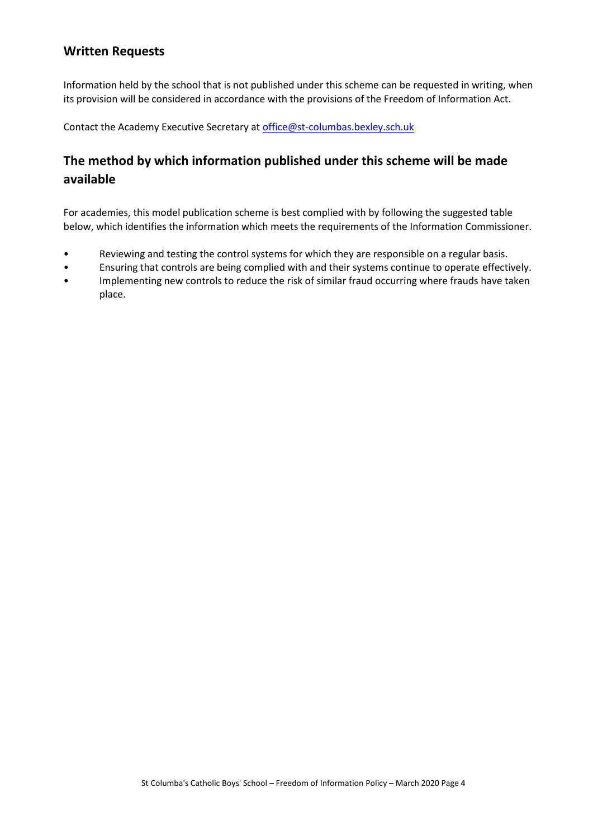## **Written Requests**

Information held by the school that is not published under this scheme can be requested in writing, when its provision will be considered in accordance with the provisions of the Freedom of Information Act.

Contact the Academy Executive Secretary a[t office@st-columbas.bexley.sch.uk](mailto:office@st-columbas.bexley.sch.uk)

# **The method by which information published under this scheme will be made available**

For academies, this model publication scheme is best complied with by following the suggested table below, which identifies the information which meets the requirements of the Information Commissioner.

- Reviewing and testing the control systems for which they are responsible on a regular basis.
- Ensuring that controls are being complied with and their systems continue to operate effectively.
- Implementing new controls to reduce the risk of similar fraud occurring where frauds have taken place.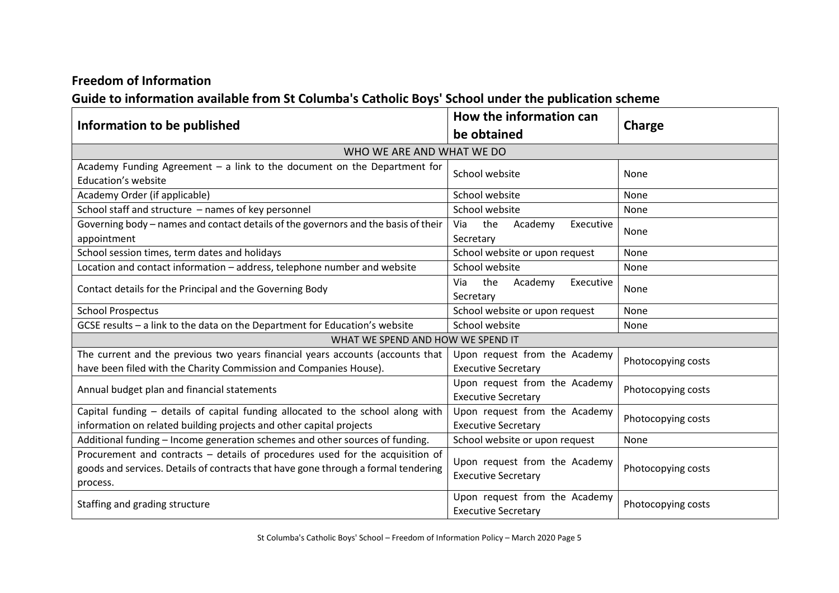## **Freedom of Information**

# **Guide to information available from St Columba's Catholic Boys' School under the publication scheme**

| Information to be published                                                                                                                                                     | How the information can                                     |                    |  |
|---------------------------------------------------------------------------------------------------------------------------------------------------------------------------------|-------------------------------------------------------------|--------------------|--|
|                                                                                                                                                                                 | be obtained                                                 | Charge             |  |
| WHO WE ARE AND WHAT WE DO                                                                                                                                                       |                                                             |                    |  |
| Academy Funding Agreement - a link to the document on the Department for<br><b>Education's website</b>                                                                          | School website                                              | None               |  |
| Academy Order (if applicable)                                                                                                                                                   | School website                                              | None               |  |
| School staff and structure - names of key personnel                                                                                                                             | School website                                              | None               |  |
| Governing body - names and contact details of the governors and the basis of their<br>appointment                                                                               | Academy<br>the<br>Executive<br>Via<br>Secretary             | None               |  |
| School session times, term dates and holidays                                                                                                                                   | School website or upon request                              | None               |  |
| Location and contact information - address, telephone number and website                                                                                                        | School website                                              | None               |  |
| Contact details for the Principal and the Governing Body                                                                                                                        | Academy<br>Via<br>the<br>Executive<br>Secretary             | None               |  |
| <b>School Prospectus</b>                                                                                                                                                        | School website or upon request                              | None               |  |
| GCSE results - a link to the data on the Department for Education's website                                                                                                     | School website                                              | None               |  |
| WHAT WE SPEND AND HOW WE SPEND IT                                                                                                                                               |                                                             |                    |  |
| The current and the previous two years financial years accounts (accounts that<br>have been filed with the Charity Commission and Companies House).                             | Upon request from the Academy<br><b>Executive Secretary</b> | Photocopying costs |  |
| Annual budget plan and financial statements                                                                                                                                     | Upon request from the Academy<br><b>Executive Secretary</b> | Photocopying costs |  |
| Capital funding - details of capital funding allocated to the school along with<br>information on related building projects and other capital projects                          | Upon request from the Academy<br><b>Executive Secretary</b> | Photocopying costs |  |
| Additional funding - Income generation schemes and other sources of funding.                                                                                                    | School website or upon request                              | None               |  |
| Procurement and contracts - details of procedures used for the acquisition of<br>goods and services. Details of contracts that have gone through a formal tendering<br>process. | Upon request from the Academy<br><b>Executive Secretary</b> | Photocopying costs |  |
| Staffing and grading structure                                                                                                                                                  | Upon request from the Academy<br><b>Executive Secretary</b> | Photocopying costs |  |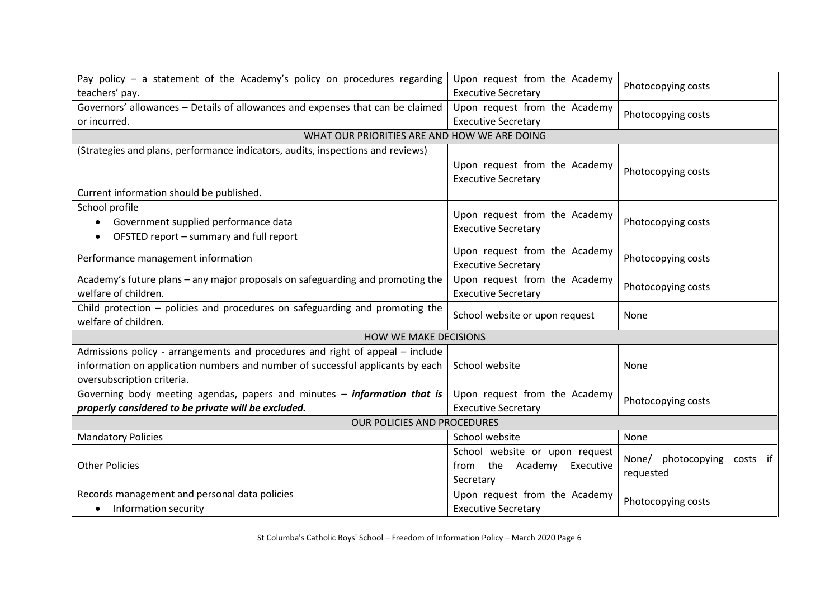| Pay policy $-$ a statement of the Academy's policy on procedures regarding      | Upon request from the Academy  | Photocopying costs          |  |  |
|---------------------------------------------------------------------------------|--------------------------------|-----------------------------|--|--|
| teachers' pay.                                                                  | <b>Executive Secretary</b>     |                             |  |  |
| Governors' allowances - Details of allowances and expenses that can be claimed  | Upon request from the Academy  | Photocopying costs          |  |  |
| or incurred.                                                                    | <b>Executive Secretary</b>     |                             |  |  |
| WHAT OUR PRIORITIES ARE AND HOW WE ARE DOING                                    |                                |                             |  |  |
| (Strategies and plans, performance indicators, audits, inspections and reviews) |                                |                             |  |  |
|                                                                                 | Upon request from the Academy  | Photocopying costs          |  |  |
|                                                                                 | <b>Executive Secretary</b>     |                             |  |  |
| Current information should be published.                                        |                                |                             |  |  |
| School profile                                                                  |                                |                             |  |  |
| Government supplied performance data                                            | Upon request from the Academy  | Photocopying costs          |  |  |
| OFSTED report - summary and full report                                         | <b>Executive Secretary</b>     |                             |  |  |
|                                                                                 | Upon request from the Academy  | Photocopying costs          |  |  |
| Performance management information                                              | <b>Executive Secretary</b>     |                             |  |  |
| Academy's future plans - any major proposals on safeguarding and promoting the  | Upon request from the Academy  |                             |  |  |
| welfare of children.                                                            | <b>Executive Secretary</b>     | Photocopying costs          |  |  |
| Child protection $-$ policies and procedures on safeguarding and promoting the  | School website or upon request | None                        |  |  |
| welfare of children.                                                            |                                |                             |  |  |
| <b>HOW WE MAKE DECISIONS</b>                                                    |                                |                             |  |  |
| Admissions policy - arrangements and procedures and right of appeal – include   |                                |                             |  |  |
| information on application numbers and number of successful applicants by each  | School website                 | None                        |  |  |
| oversubscription criteria.                                                      |                                |                             |  |  |
| Governing body meeting agendas, papers and minutes - information that is        | Upon request from the Academy  | Photocopying costs          |  |  |
| properly considered to be private will be excluded.                             | <b>Executive Secretary</b>     |                             |  |  |
| OUR POLICIES AND PROCEDURES                                                     |                                |                             |  |  |
| <b>Mandatory Policies</b>                                                       | School website                 | None                        |  |  |
|                                                                                 | School website or upon request |                             |  |  |
| <b>Other Policies</b>                                                           | from the Academy<br>Executive  | None/ photocopying costs if |  |  |
|                                                                                 | Secretary                      | requested                   |  |  |
| Records management and personal data policies                                   | Upon request from the Academy  | Photocopying costs          |  |  |
| Information security                                                            | <b>Executive Secretary</b>     |                             |  |  |